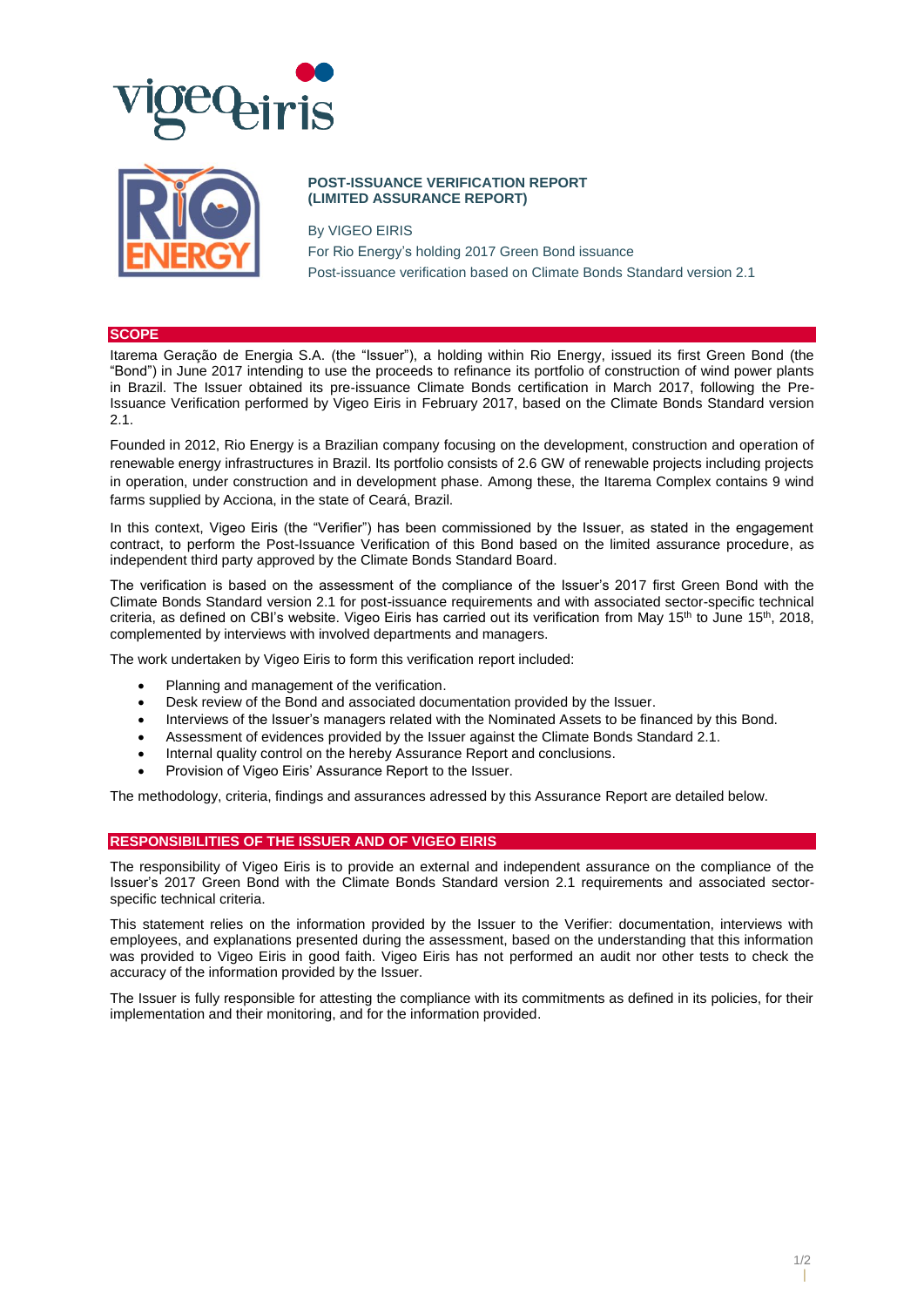



# **POST-ISSUANCE VERIFICATION REPORT (LIMITED ASSURANCE REPORT)**

By VIGEO EIRIS For Rio Energy's holding 2017 Green Bond issuance Post-issuance verification based on Climate Bonds Standard version 2.1

#### **SCOPE**

Itarema Geração de Energia S.A. (the "Issuer"), a holding within Rio Energy, issued its first Green Bond (the "Bond") in June 2017 intending to use the proceeds to refinance its portfolio of construction of wind power plants in Brazil. The Issuer obtained its pre-issuance Climate Bonds certification in March 2017, following the Pre-Issuance Verification performed by Vigeo Eiris in February 2017, based on the Climate Bonds Standard version 2.1.

Founded in 2012, Rio Energy is a Brazilian company focusing on the development, construction and operation of renewable energy infrastructures in Brazil. Its portfolio consists of 2.6 GW of renewable projects including projects in operation, under construction and in development phase. Among these, the Itarema Complex contains 9 wind farms supplied by Acciona, in the state of Ceará, Brazil.

In this context, Vigeo Eiris (the "Verifier") has been commissioned by the Issuer, as stated in the engagement contract, to perform the Post-Issuance Verification of this Bond based on the limited assurance procedure, as independent third party approved by the Climate Bonds Standard Board.

The verification is based on the assessment of the compliance of the Issuer's 2017 first Green Bond with the Climate Bonds Standard version 2.1 for post-issuance requirements and with associated sector-specific technical criteria, as defined on CBI's website. Vigeo Eiris has carried out its verification from May 15<sup>th</sup> to June 15<sup>th</sup>, 2018, complemented by interviews with involved departments and managers.

The work undertaken by Vigeo Eiris to form this verification report included:

- Planning and management of the verification.
- Desk review of the Bond and associated documentation provided by the Issuer.
- Interviews of the Issuer's managers related with the Nominated Assets to be financed by this Bond.
- Assessment of evidences provided by the Issuer against the Climate Bonds Standard 2.1.
- Internal quality control on the hereby Assurance Report and conclusions.
- Provision of Vigeo Eiris' Assurance Report to the Issuer.

The methodology, criteria, findings and assurances adressed by this Assurance Report are detailed below.

## **RESPONSIBILITIES OF THE ISSUER AND OF VIGEO EIRIS**

The responsibility of Vigeo Eiris is to provide an external and independent assurance on the compliance of the Issuer's 2017 Green Bond with the Climate Bonds Standard version 2.1 requirements and associated sectorspecific technical criteria.

This statement relies on the information provided by the Issuer to the Verifier: documentation, interviews with employees, and explanations presented during the assessment, based on the understanding that this information was provided to Vigeo Eiris in good faith. Vigeo Eiris has not performed an audit nor other tests to check the accuracy of the information provided by the Issuer.

The Issuer is fully responsible for attesting the compliance with its commitments as defined in its policies, for their implementation and their monitoring, and for the information provided.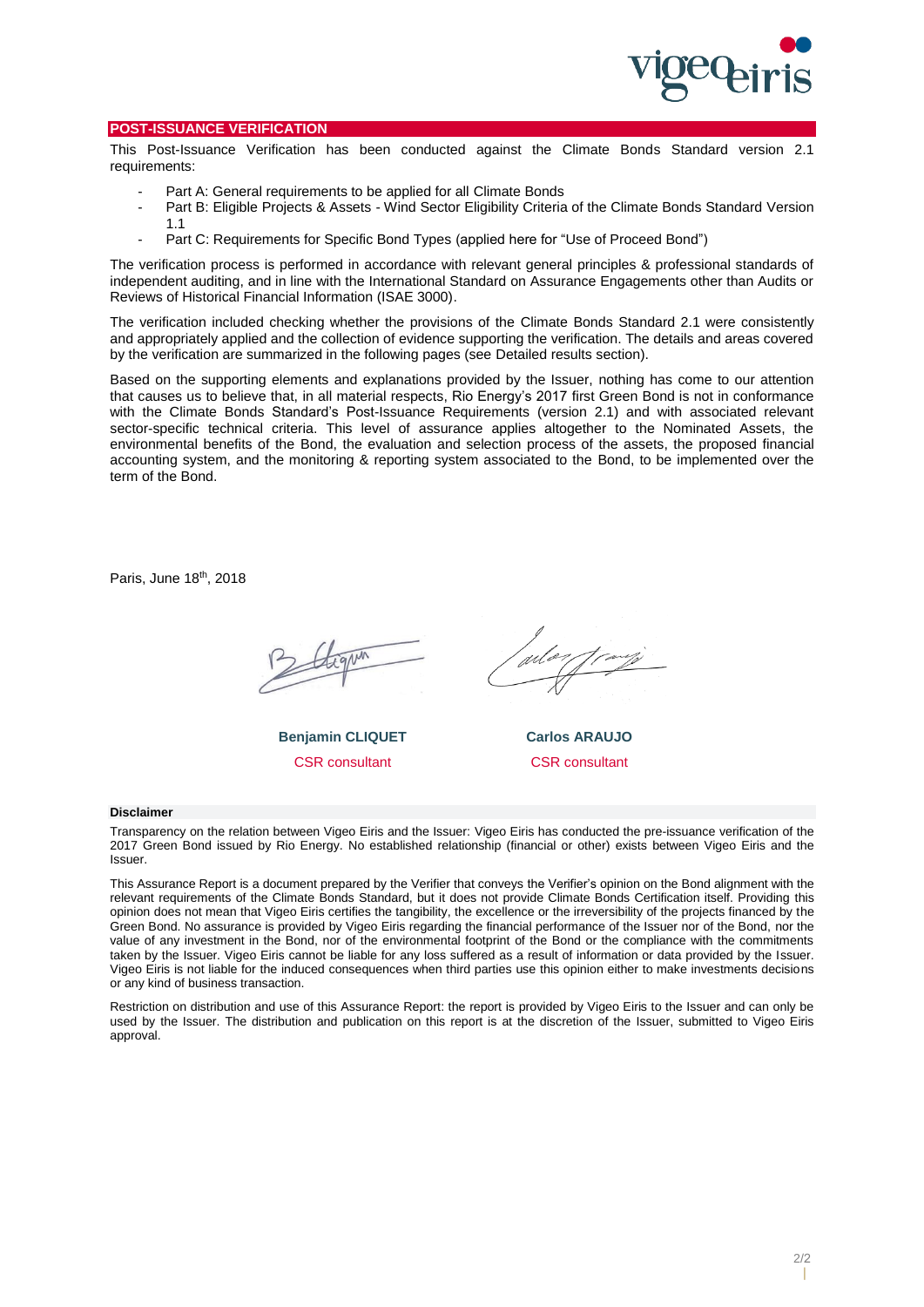

### **POST-ISSUANCE VERIFICATION**

This Post-Issuance Verification has been conducted against the Climate Bonds Standard version 2.1 requirements:

- Part A: General requirements to be applied for all Climate Bonds
- Part B: Eligible Projects & Assets Wind Sector Eligibility Criteria of the Climate Bonds Standard Version 1.1
- Part C: Requirements for Specific Bond Types (applied here for "Use of Proceed Bond")

The verification process is performed in accordance with relevant general principles & professional standards of independent auditing, and in line with the International Standard on Assurance Engagements other than Audits or Reviews of Historical Financial Information (ISAE 3000).

The verification included checking whether the provisions of the Climate Bonds Standard 2.1 were consistently and appropriately applied and the collection of evidence supporting the verification. The details and areas covered by the verification are summarized in the following pages (see Detailed results section).

Based on the supporting elements and explanations provided by the Issuer, nothing has come to our attention that causes us to believe that, in all material respects, Rio Energy's 2017 first Green Bond is not in conformance with the Climate Bonds Standard's Post-Issuance Requirements (version 2.1) and with associated relevant sector-specific technical criteria. This level of assurance applies altogether to the Nominated Assets, the environmental benefits of the Bond, the evaluation and selection process of the assets, the proposed financial accounting system, and the monitoring & reporting system associated to the Bond, to be implemented over the term of the Bond.

Paris, June 18<sup>th</sup>, 2018

**Benjamin CLIQUET** CSR consultant

**Carlos ARAUJO** CSR consultant

#### **Disclaimer**

Transparency on the relation between Vigeo Eiris and the Issuer: Vigeo Eiris has conducted the pre-issuance verification of the 2017 Green Bond issued by Rio Energy. No established relationship (financial or other) exists between Vigeo Eiris and the Issuer.

This Assurance Report is a document prepared by the Verifier that conveys the Verifier's opinion on the Bond alignment with the relevant requirements of the Climate Bonds Standard, but it does not provide Climate Bonds Certification itself. Providing this opinion does not mean that Vigeo Eiris certifies the tangibility, the excellence or the irreversibility of the projects financed by the Green Bond. No assurance is provided by Vigeo Eiris regarding the financial performance of the Issuer nor of the Bond, nor the value of any investment in the Bond, nor of the environmental footprint of the Bond or the compliance with the commitments taken by the Issuer. Vigeo Eiris cannot be liable for any loss suffered as a result of information or data provided by the Issuer. Vigeo Eiris is not liable for the induced consequences when third parties use this opinion either to make investments decisions or any kind of business transaction.

Restriction on distribution and use of this Assurance Report: the report is provided by Vigeo Eiris to the Issuer and can only be used by the Issuer. The distribution and publication on this report is at the discretion of the Issuer, submitted to Vigeo Eiris approval.